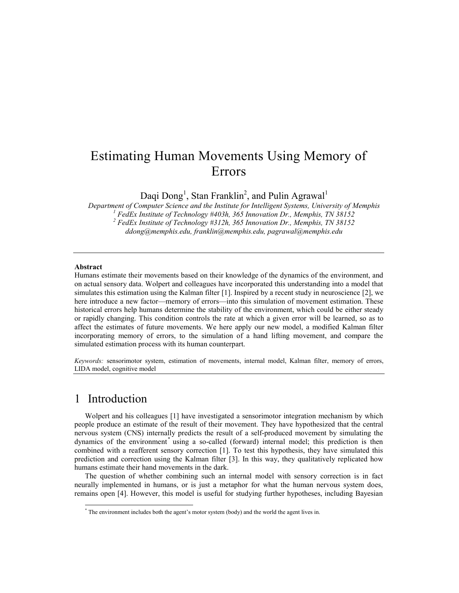# Estimating Human Movements Using Memory of Errors

Daqi Dong<sup>1</sup>, Stan Franklin<sup>2</sup>, and Pulin Agrawal<sup>1</sup>

*Department of Computer Science and the Institute for Intelligent Systems, University of Memphis <sup>1</sup> FedEx Institute of Technology #403h, 365 Innovation Dr., Memphis, TN 38152 <sup>2</sup> FedEx Institute of Technology #312h, 365 Innovation Dr., Memphis, TN 38152 ddong@memphis.edu, franklin@memphis.edu, pagrawal@memphis.edu*

#### **Abstract**

Humans estimate their movements based on their knowledge of the dynamics of the environment, and on actual sensory data. Wolpert and colleagues have incorporated this understanding into a model that simulates this estimation using the Kalman filter [\[1\]](#page-9-0). Inspired by a recent study in neuroscience [\[2\]](#page-9-1), we here introduce a new factor—memory of errors—into this simulation of movement estimation. These historical errors help humans determine the stability of the environment, which could be either steady or rapidly changing. This condition controls the rate at which a given error will be learned, so as to affect the estimates of future movements. We here apply our new model, a modified Kalman filter incorporating memory of errors, to the simulation of a hand lifting movement, and compare the simulated estimation process with its human counterpart.

*Keywords:* sensorimotor system, estimation of movements, internal model, Kalman filter, memory of errors, LIDA model, cognitive model

# 1 Introduction

l

Wolpert and his colleagues [\[1\]](#page-9-0) have investigated a sensorimotor integration mechanism by which people produce an estimate of the result of their movement. They have hypothesized that the central nervous system (CNS) internally predicts the result of a self-produced movement by simulating the dynamics of the environment using a so-called (forward) internal model; this prediction is then combined with a reafferent sensory correction [\[1\]](#page-9-0). To test this hypothesis, they have simulated this prediction and correction using the Kalman filter [\[3\]](#page-9-2). In this way, they qualitatively replicated how humans estimate their hand movements in the dark.

The question of whether combining such an internal model with sensory correction is in fact neurally implemented in humans, or is just a metaphor for what the human nervous system does, remains open [\[4\]](#page-9-3). However, this model is useful for studying further hypotheses, including Bayesian

<sup>\*</sup> The environment includes both the agent's motor system (body) and the world the agent lives in.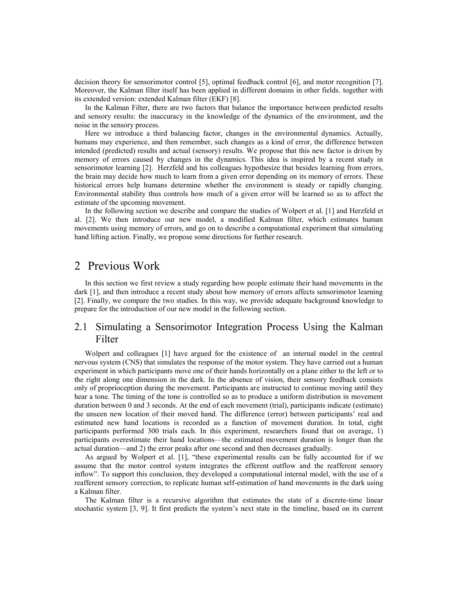decision theory for sensorimotor control [\[5\]](#page-9-4), optimal feedback control [\[6\]](#page-9-5), and motor recognition [\[7\]](#page-9-6). Moreover, the Kalman filter itself has been applied in different domains in other fields. together with its extended version: extended Kalman filter (EKF) [\[8\]](#page-9-7).

In the Kalman Filter, there are two factors that balance the importance between predicted results and sensory results: the inaccuracy in the knowledge of the dynamics of the environment, and the noise in the sensory process.

Here we introduce a third balancing factor, changes in the environmental dynamics. Actually, humans may experience, and then remember, such changes as a kind of error, the difference between intended (predicted) results and actual (sensory) results. We propose that this new factor is driven by memory of errors caused by changes in the dynamics. This idea is inspired by a recent study in sensorimotor learning [\[2\]](#page-9-1). Herzfeld and his colleagues hypothesize that besides learning from errors, the brain may decide how much to learn from a given error depending on its memory of errors. These historical errors help humans determine whether the environment is steady or rapidly changing. Environmental stability thus controls how much of a given error will be learned so as to affect the estimate of the upcoming movement.

In the following section we describe and compare the studies of Wolpert et al. [\[1\]](#page-9-0) and Herzfeld et al. [\[2\]](#page-9-1). We then introduce our new model, a modified Kalman filter, which estimates human movements using memory of errors, and go on to describe a computational experiment that simulating hand lifting action. Finally, we propose some directions for further research.

# 2 Previous Work

In this section we first review a study regarding how people estimate their hand movements in the dark [\[1\]](#page-9-0), and then introduce a recent study about how memory of errors affects sensorimotor learning [\[2\]](#page-9-1). Finally, we compare the two studies. In this way, we provide adequate background knowledge to prepare for the introduction of our new model in the following section.

### 2.1 Simulating a Sensorimotor Integration Process Using the Kalman Filter

Wolpert and colleagues [\[1\]](#page-9-0) have argued for the existence of an internal model in the central nervous system (CNS) that simulates the response of the motor system. They have carried out a human experiment in which participants move one of their hands horizontally on a plane either to the left or to the right along one dimension in the dark. In the absence of vision, their sensory feedback consists only of proprioception during the movement. Participants are instructed to continue moving until they hear a tone. The timing of the tone is controlled so as to produce a uniform distribution in movement duration between 0 and 3 seconds. At the end of each movement (trial), participants indicate (estimate) the unseen new location of their moved hand. The difference (error) between participants' real and estimated new hand locations is recorded as a function of movement duration. In total, eight participants performed 300 trials each. In this experiment, researchers found that on average, 1) participants overestimate their hand locations—the estimated movement duration is longer than the actual duration—and 2) the error peaks after one second and then decreases gradually.

As argued by Wolpert et al.  $[1]$ , "these experimental results can be fully accounted for if we assume that the motor control system integrates the efferent outflow and the reafferent sensory inflow". To support this conclusion, they developed a computational internal model, with the use of a reafferent sensory correction, to replicate human self-estimation of hand movements in the dark using a Kalman filter.

The Kalman filter is a recursive algorithm that estimates the state of a discrete-time linear stochastic system [\[3,](#page-9-2) [9\]](#page-9-8). It first predicts the system's next state in the timeline, based on its current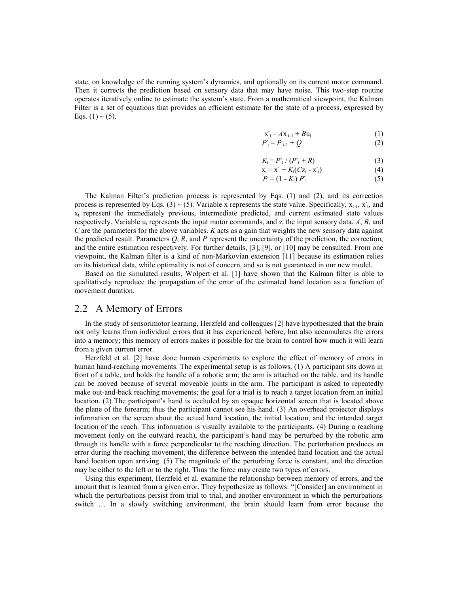state, on knowledge of the running system's dynamics, and optionally on its current motor command. Then it corrects the prediction based on sensory data that may have noise. This two-step routine operates iteratively online to estimate the system's state. From a mathematical viewpoint, the Kalman Filter is a set of equations that provides an efficient estimate for the state of a process, expressed by Eqs.  $(1) \sim (5)$ .

$$
x_t = Ax_{t-1} + Bu_t
$$

$$
B = B + O \tag{1}
$$

$$
P_{t} = P_{t-1} + Q \tag{2}
$$

$$
K_{t} = P_{t} / (P_{t} + R)
$$
 (3)

$$
x_t = x_t^{\dagger} + K_t(Cz_t - x_t^{\dagger})
$$
 (4)

$$
P_{\rm t} = (1 - K_{\rm t}) P_{\rm t} \tag{5}
$$

The Kalman Filter's prediction process is represented by Eqs. (1) and (2), and its correction process is represented by Eqs. (3) ~ (5). Variable x represents the state value. Specifically,  $x_{t-1}$ ,  $x_t$ , and  $x_t$  represent the immediately previous, intermediate predicted, and current estimated state values respectively. Variable  $u_t$  represents the input motor commands, and  $z_t$  the input sensory data.  $A$ ,  $B$ , and *C* are the parameters for the above variables. *K* acts as a gain that weights the new sensory data against the predicted result. Parameters *Q*, *R*, and *P* represent the uncertainty of the prediction, the correction, and the entire estimation respectively. For further details, [\[3\]](#page-9-2), [\[9\]](#page-9-8), or [\[10\]](#page-9-9) may be consulted. From one viewpoint, the Kalman filter is a kind of non-Markovian extension [\[11\]](#page-9-10) because its estimation relies on its historical data, while optimality is not of concern, and so is not guaranteed in our new model.

Based on the simulated results, Wolpert et al. [\[1\]](#page-9-0) have shown that the Kalman filter is able to qualitatively reproduce the propagation of the error of the estimated hand location as a function of movement duration.

### 2.2 A Memory of Errors

In the study of sensorimotor learning, Herzfeld and colleagues [\[2\]](#page-9-1) have hypothesized that the brain not only learns from individual errors that it has experienced before, but also accumulates the errors into a memory; this memory of errors makes it possible for the brain to control how much it will learn from a given current error.

Herzfeld et al. [\[2\]](#page-9-1) have done human experiments to explore the effect of memory of errors in human hand-reaching movements. The experimental setup is as follows. (1) A participant sits down in front of a table, and holds the handle of a robotic arm; the arm is attached on the table, and its handle can be moved because of several moveable joints in the arm. The participant is asked to repeatedly make out-and-back reaching movements; the goal for a trial is to reach a target location from an initial location. (2) The participant's hand is occluded by an opaque horizontal screen that is located above the plane of the forearm; thus the participant cannot see his hand. (3) An overhead projector displays information on the screen about the actual hand location, the initial location, and the intended target location of the reach. This information is visually available to the participants. (4) During a reaching movement (only on the outward reach), the participant's hand may be perturbed by the robotic arm through its handle with a force perpendicular to the reaching direction. The perturbation produces an error during the reaching movement, the difference between the intended hand location and the actual hand location upon arriving. (5) The magnitude of the perturbing force is constant, and the direction may be either to the left or to the right. Thus the force may create two types of errors.

Using this experiment, Herzfeld et al. examine the relationship between memory of errors, and the amount that is learned from a given error. They hypothesize as follows: "[Consider] an environment in which the perturbations persist from trial to trial, and another environment in which the perturbations switch … In a slowly switching environment, the brain should learn from error because the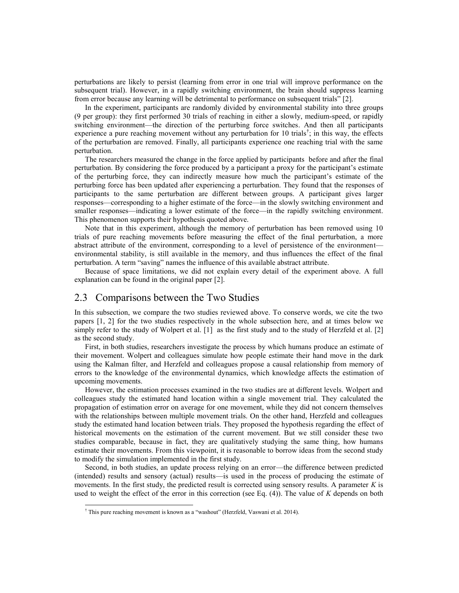perturbations are likely to persist (learning from error in one trial will improve performance on the subsequent trial). However, in a rapidly switching environment, the brain should suppress learning from error because any learning will be detrimental to performance on subsequent trials" [\[2\]](#page-9-1).

In the experiment, participants are randomly divided by environmental stability into three groups (9 per group): they first performed 30 trials of reaching in either a slowly, medium-speed, or rapidly switching environment—the direction of the perturbing force switches. And then all participants experience a pure reaching movement without any perturbation for 10 trials<sup>†</sup>; in this way, the effects of the perturbation are removed. Finally, all participants experience one reaching trial with the same perturbation.

The researchers measured the change in the force applied by participants before and after the final perturbation. By considering the force produced by a participant a proxy for the participant's estimate of the perturbing force, they can indirectly measure how much the participant's estimate of the perturbing force has been updated after experiencing a perturbation. They found that the responses of participants to the same perturbation are different between groups. A participant gives larger responses—corresponding to a higher estimate of the force—in the slowly switching environment and smaller responses—indicating a lower estimate of the force—in the rapidly switching environment. This phenomenon supports their hypothesis quoted above.

Note that in this experiment, although the memory of perturbation has been removed using 10 trials of pure reaching movements before measuring the effect of the final perturbation, a more abstract attribute of the environment, corresponding to a level of persistence of the environment environmental stability, is still available in the memory, and thus influences the effect of the final perturbation. A term "saving" names the influence of this available abstract attribute.

Because of space limitations, we did not explain every detail of the experiment above. A full explanation can be found in the original paper [\[2\]](#page-9-1).

#### 2.3 Comparisons between the Two Studies

In this subsection, we compare the two studies reviewed above. To conserve words, we cite the two papers [\[1,](#page-9-0) [2\]](#page-9-1) for the two studies respectively in the whole subsection here, and at times below we simply refer to the study of Wolpert et al. [\[1\]](#page-9-0) as the first study and to the study of Herzfeld et al. [\[2\]](#page-9-1) as the second study.

First, in both studies, researchers investigate the process by which humans produce an estimate of their movement. Wolpert and colleagues simulate how people estimate their hand move in the dark using the Kalman filter, and Herzfeld and colleagues propose a causal relationship from memory of errors to the knowledge of the environmental dynamics, which knowledge affects the estimation of upcoming movements.

However, the estimation processes examined in the two studies are at different levels. Wolpert and colleagues study the estimated hand location within a single movement trial. They calculated the propagation of estimation error on average for one movement, while they did not concern themselves with the relationships between multiple movement trials. On the other hand, Herzfeld and colleagues study the estimated hand location between trials. They proposed the hypothesis regarding the effect of historical movements on the estimation of the current movement. But we still consider these two studies comparable, because in fact, they are qualitatively studying the same thing, how humans estimate their movements. From this viewpoint, it is reasonable to borrow ideas from the second study to modify the simulation implemented in the first study.

Second, in both studies, an update process relying on an error—the difference between predicted (intended) results and sensory (actual) results—is used in the process of producing the estimate of movements. In the first study, the predicted result is corrected using sensory results. A parameter *K* is used to weight the effect of the error in this correction (see Eq. (4)). The value of *K* depends on both

l

 $\dagger$  This pure reaching movement is known as a "washout" (Herzfeld, Vaswani et al. 2014).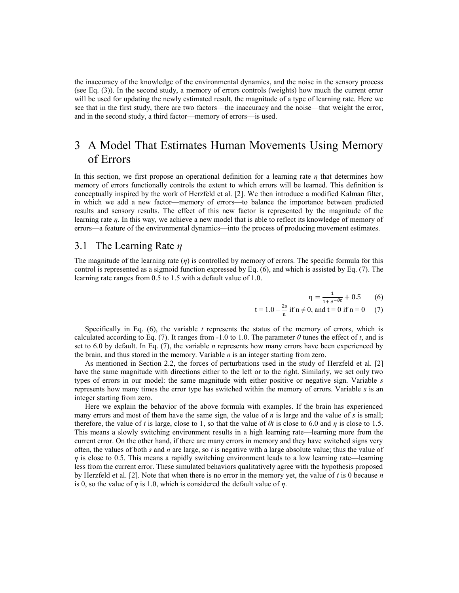the inaccuracy of the knowledge of the environmental dynamics, and the noise in the sensory process (see Eq. (3)). In the second study, a memory of errors controls (weights) how much the current error will be used for updating the newly estimated result, the magnitude of a type of learning rate. Here we see that in the first study, there are two factors—the inaccuracy and the noise—that weight the error, and in the second study, a third factor—memory of errors—is used.

# 3 A Model That Estimates Human Movements Using Memory of Errors

In this section, we first propose an operational definition for a learning rate *η* that determines how memory of errors functionally controls the extent to which errors will be learned. This definition is conceptually inspired by the work of Herzfeld et al. [\[2\]](#page-9-1). We then introduce a modified Kalman filter, in which we add a new factor—memory of errors—to balance the importance between predicted results and sensory results. The effect of this new factor is represented by the magnitude of the learning rate *η*. In this way, we achieve a new model that is able to reflect its knowledge of memory of errors—a feature of the environmental dynamics—into the process of producing movement estimates.

### 3.1 The Learning Rate *η*

The magnitude of the learning rate (*η*) is controlled by memory of errors. The specific formula for this control is represented as a sigmoid function expressed by Eq. (6), and which is assisted by Eq. (7). The learning rate ranges from 0.5 to 1.5 with a default value of 1.0.

$$
\eta = \frac{1}{1 + e^{-\theta t}} + 0.5 \qquad (6)
$$
  
t = 1.0 -  $\frac{2s}{n}$  if n \ne 0, and t = 0 if n = 0 (7)

Specifically in Eq. (6), the variable *t* represents the status of the memory of errors, which is calculated according to Eq. (7). It ranges from -1.0 to 1.0. The parameter  $\theta$  tunes the effect of *t*, and is set to 6.0 by default. In Eq. (7), the variable *n* represents how many errors have been experienced by the brain, and thus stored in the memory. Variable *n* is an integer starting from zero.

As mentioned in Section 2.2, the forces of perturbations used in the study of Herzfeld et al. [\[2\]](#page-9-1) have the same magnitude with directions either to the left or to the right. Similarly, we set only two types of errors in our model: the same magnitude with either positive or negative sign. Variable *s* represents how many times the error type has switched within the memory of errors. Variable *s* is an integer starting from zero.

Here we explain the behavior of the above formula with examples. If the brain has experienced many errors and most of them have the same sign, the value of *n* is large and the value of *s* is small; therefore, the value of *t* is large, close to 1, so that the value of  $\theta t$  is close to 6.0 and  $\eta$  is close to 1.5. This means a slowly switching environment results in a high learning rate—learning more from the current error. On the other hand, if there are many errors in memory and they have switched signs very often, the values of both *s* and *n* are large, so *t* is negative with a large absolute value; thus the value of *η* is close to 0.5. This means a rapidly switching environment leads to a low learning rate—learning less from the current error. These simulated behaviors qualitatively agree with the hypothesis proposed by Herzfeld et al. [\[2\]](#page-9-1). Note that when there is no error in the memory yet, the value of *t* is 0 because *n* is 0, so the value of  $\eta$  is 1.0, which is considered the default value of  $\eta$ .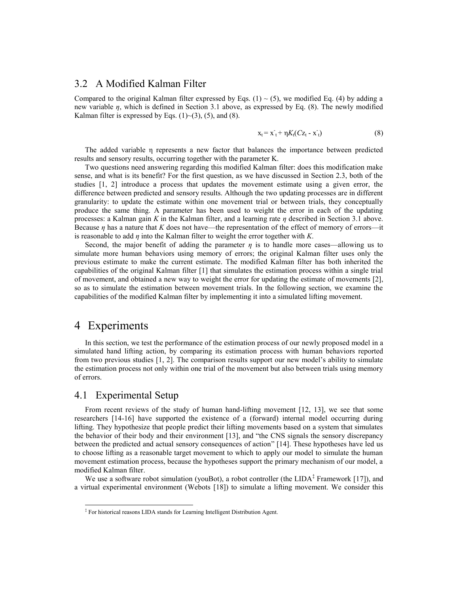### 3.2 A Modified Kalman Filter

Compared to the original Kalman filter expressed by Eqs.  $(1) \sim (5)$ , we modified Eq. (4) by adding a new variable *η*, which is defined in Section 3.1 above, as expressed by Eq. (8). The newly modified Kalman filter is expressed by Eqs.  $(1)$   $\neg$ (3),  $(5)$ , and  $(8)$ .

$$
x_t = x_t + \eta K_t(Cz_t - x_t) \tag{8}
$$

The added variable η represents a new factor that balances the importance between predicted results and sensory results, occurring together with the parameter K.

Two questions need answering regarding this modified Kalman filter: does this modification make sense, and what is its benefit? For the first question, as we have discussed in Section 2.3, both of the studies [\[1,](#page-9-0) [2\]](#page-9-1) introduce a process that updates the movement estimate using a given error, the difference between predicted and sensory results. Although the two updating processes are in different granularity: to update the estimate within one movement trial or between trials, they conceptually produce the same thing. A parameter has been used to weight the error in each of the updating processes: a Kalman gain *K* in the Kalman filter, and a learning rate *η* described in Section 3.1 above. Because *η* has a nature that *K* does not have—the representation of the effect of memory of errors—it is reasonable to add *η* into the Kalman filter to weight the error together with *K*.

Second, the major benefit of adding the parameter  $\eta$  is to handle more cases—allowing us to simulate more human behaviors using memory of errors; the original Kalman filter uses only the previous estimate to make the current estimate. The modified Kalman filter has both inherited the capabilities of the original Kalman filter [\[1\]](#page-9-0) that simulates the estimation process within a single trial of movement, and obtained a new way to weight the error for updating the estimate of movements [\[2\]](#page-9-1), so as to simulate the estimation between movement trials. In the following section, we examine the capabilities of the modified Kalman filter by implementing it into a simulated lifting movement.

## 4 Experiments

l

In this section, we test the performance of the estimation process of our newly proposed model in a simulated hand lifting action, by comparing its estimation process with human behaviors reported from two previous studies [\[1,](#page-9-0) [2\]](#page-9-1). The comparison results support our new model's ability to simulate the estimation process not only within one trial of the movement but also between trials using memory of errors.

#### 4.1 Experimental Setup

From recent reviews of the study of human hand-lifting movement [\[12,](#page-9-11) [13\]](#page-9-12), we see that some researchers [\[14-16\]](#page-9-13) have supported the existence of a (forward) internal model occurring during lifting. They hypothesize that people predict their lifting movements based on a system that simulates the behavior of their body and their environment [\[13\]](#page-9-12), and "the CNS signals the sensory discrepancy between the predicted and actual sensory consequences of action" [\[14\]](#page-9-13). These hypotheses have led us to choose lifting as a reasonable target movement to which to apply our model to simulate the human movement estimation process, because the hypotheses support the primary mechanism of our model, a modified Kalman filter.

We use a software robot simulation (youBot), a robot controller (the LIDA<sup>‡</sup> Framework [\[17\]](#page-9-14)), and a virtual experimental environment (Webots [\[18\]](#page-9-15)) to simulate a lifting movement. We consider this

<sup>‡</sup> For historical reasons LIDA stands for Learning Intelligent Distribution Agent.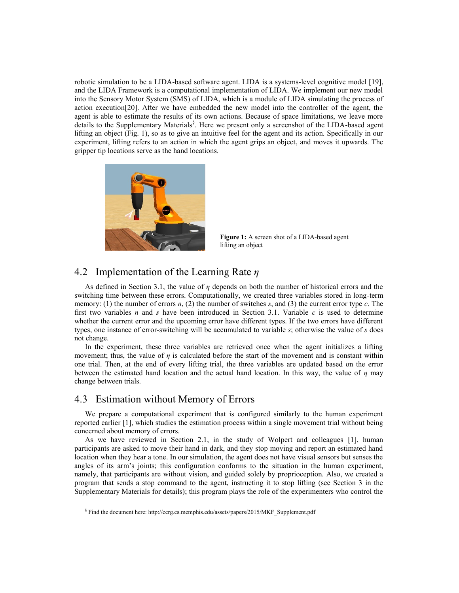robotic simulation to be a LIDA-based software agent. LIDA is a systems-level cognitive model [\[19\]](#page-9-16), and the LIDA Framework is a computational implementation of LIDA. We implement our new model into the Sensory Motor System (SMS) of LIDA, which is a module of LIDA simulating the process of action execution[\[20\]](#page-9-17). After we have embedded the new model into the controller of the agent, the agent is able to estimate the results of its own actions. Because of space limitations, we leave more details to the Supplementary Materials<sup>§</sup>. Here we present only a screenshot of the LIDA-based agent lifting an object (Fig. 1), so as to give an intuitive feel for the agent and its action. Specifically in our experiment, lifting refers to an action in which the agent grips an object, and moves it upwards. The gripper tip locations serve as the hand locations.



**Figure 1:** A screen shot of a LIDA-based agent lifting an object

### 4.2 Implementation of the Learning Rate *η*

As defined in Section 3.1, the value of *η* depends on both the number of historical errors and the switching time between these errors. Computationally, we created three variables stored in long-term memory: (1) the number of errors *n*, (2) the number of switches *s*, and (3) the current error type *c*. The first two variables *n* and *s* have been introduced in Section 3.1. Variable *c* is used to determine whether the current error and the upcoming error have different types. If the two errors have different types, one instance of error-switching will be accumulated to variable *s*; otherwise the value of *s* does not change.

In the experiment, these three variables are retrieved once when the agent initializes a lifting movement; thus, the value of  $\eta$  is calculated before the start of the movement and is constant within one trial. Then, at the end of every lifting trial, the three variables are updated based on the error between the estimated hand location and the actual hand location. In this way, the value of *η* may change between trials.

### 4.3 Estimation without Memory of Errors

l

We prepare a computational experiment that is configured similarly to the human experiment reported earlier [\[1\]](#page-9-0), which studies the estimation process within a single movement trial without being concerned about memory of errors.

As we have reviewed in Section 2.1, in the study of Wolpert and colleagues [\[1\]](#page-9-0), human participants are asked to move their hand in dark, and they stop moving and report an estimated hand location when they hear a tone. In our simulation, the agent does not have visual sensors but senses the angles of its arm's joints; this configuration conforms to the situation in the human experiment, namely, that participants are without vision, and guided solely by proprioception. Also, we created a program that sends a stop command to the agent, instructing it to stop lifting (see Section 3 in the Supplementary Materials for details); this program plays the role of the experimenters who control the

<sup>§</sup> Find the document here: http://ccrg.cs.memphis.edu/assets/papers/2015/MKF\_Supplement.pdf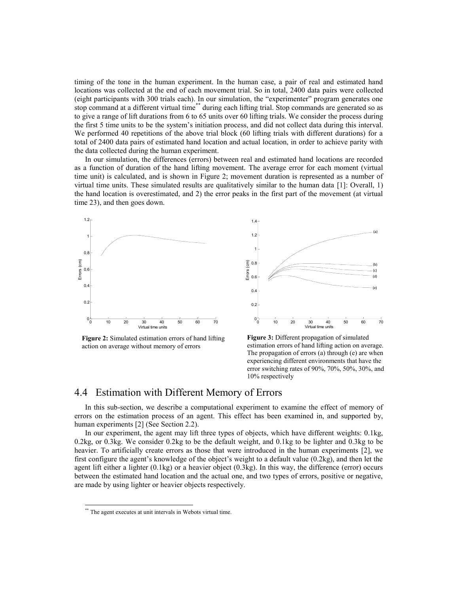timing of the tone in the human experiment. In the human case, a pair of real and estimated hand locations was collected at the end of each movement trial. So in total, 2400 data pairs were collected (eight participants with 300 trials each). In our simulation, the "experimenter" program generates one stop command at a different virtual time\*\* during each lifting trial. Stop commands are generated so as to give a range of lift durations from 6 to 65 units over 60 lifting trials. We consider the process during the first 5 time units to be the system's initiation process, and did not collect data during this interval. We performed 40 repetitions of the above trial block (60 lifting trials with different durations) for a total of 2400 data pairs of estimated hand location and actual location, in order to achieve parity with the data collected during the human experiment.

In our simulation, the differences (errors) between real and estimated hand locations are recorded as a function of duration of the hand lifting movement. The average error for each moment (virtual time unit) is calculated, and is shown in Figure 2; movement duration is represented as a number of virtual time units. These simulated results are qualitatively similar to the human data [\[1\]](#page-9-0): Overall, 1) the hand location is overestimated, and 2) the error peaks in the first part of the movement (at virtual time 23), and then goes down.



**Figure 2:** Simulated estimation errors of hand lifting action on average without memory of errors



**Figure 3:** Different propagation of simulated estimation errors of hand lifting action on average. The propagation of errors (a) through (e) are when experiencing different environments that have the error switching rates of 90%, 70%, 50%, 30%, and 10% respectively

#### 4.4 Estimation with Different Memory of Errors

In this sub-section, we describe a computational experiment to examine the effect of memory of errors on the estimation process of an agent. This effect has been examined in, and supported by, human experiments [\[2\]](#page-9-1) (See Section 2.2).

In our experiment, the agent may lift three types of objects, which have different weights: 0.1kg, 0.2kg, or 0.3kg. We consider 0.2kg to be the default weight, and 0.1kg to be lighter and 0.3kg to be heavier. To artificially create errors as those that were introduced in the human experiments [\[2\]](#page-9-1), we first configure the agent's knowledge of the object's weight to a default value (0.2kg), and then let the agent lift either a lighter (0.1kg) or a heavier object (0.3kg). In this way, the difference (error) occurs between the estimated hand location and the actual one, and two types of errors, positive or negative, are made by using lighter or heavier objects respectively.

l

<sup>\*\*</sup> The agent executes at unit intervals in Webots virtual time.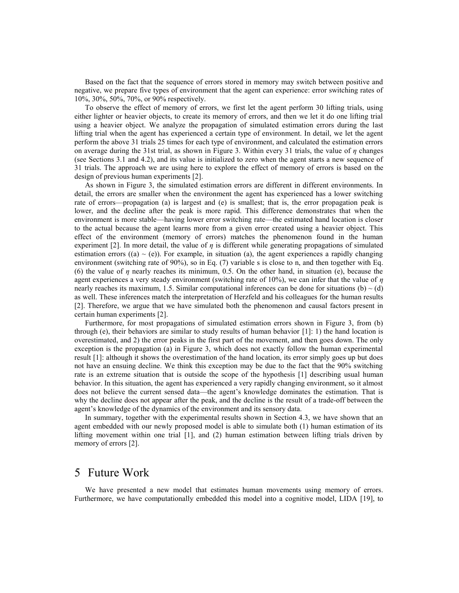Based on the fact that the sequence of errors stored in memory may switch between positive and negative, we prepare five types of environment that the agent can experience: error switching rates of 10%, 30%, 50%, 70%, or 90% respectively.

To observe the effect of memory of errors, we first let the agent perform 30 lifting trials, using either lighter or heavier objects, to create its memory of errors, and then we let it do one lifting trial using a heavier object. We analyze the propagation of simulated estimation errors during the last lifting trial when the agent has experienced a certain type of environment. In detail, we let the agent perform the above 31 trials 25 times for each type of environment, and calculated the estimation errors on average during the 31st trial, as shown in Figure 3. Within every 31 trials, the value of  $\eta$  changes (see Sections 3.1 and 4.2), and its value is initialized to zero when the agent starts a new sequence of 31 trials. The approach we are using here to explore the effect of memory of errors is based on the design of previous human experiments [\[2\]](#page-9-1).

As shown in Figure 3, the simulated estimation errors are different in different environments. In detail, the errors are smaller when the environment the agent has experienced has a lower switching rate of errors—propagation (a) is largest and (e) is smallest; that is, the error propagation peak is lower, and the decline after the peak is more rapid. This difference demonstrates that when the environment is more stable—having lower error switching rate—the estimated hand location is closer to the actual because the agent learns more from a given error created using a heavier object. This effect of the environment (memory of errors) matches the phenomenon found in the human experiment [\[2\]](#page-9-1). In more detail, the value of *η* is different while generating propagations of simulated estimation errors ((a)  $\sim$  (e)). For example, in situation (a), the agent experiences a rapidly changing environment (switching rate of 90%), so in Eq. (7) variable s is close to n, and then together with Eq. (6) the value of *η* nearly reaches its minimum, 0.5. On the other hand, in situation (e), because the agent experiences a very steady environment (switching rate of 10%), we can infer that the value of *η* nearly reaches its maximum, 1.5. Similar computational inferences can be done for situations (b)  $\sim$  (d) as well. These inferences match the interpretation of Herzfeld and his colleagues for the human results [\[2\]](#page-9-1). Therefore, we argue that we have simulated both the phenomenon and causal factors present in certain human experiments [\[2\]](#page-9-1).

Furthermore, for most propagations of simulated estimation errors shown in Figure 3, from (b) through (e), their behaviors are similar to study results of human behavior  $[1]$ : 1) the hand location is overestimated, and 2) the error peaks in the first part of the movement, and then goes down. The only exception is the propagation (a) in Figure 3, which does not exactly follow the human experimental result [\[1\]](#page-9-0): although it shows the overestimation of the hand location, its error simply goes up but does not have an ensuing decline. We think this exception may be due to the fact that the 90% switching rate is an extreme situation that is outside the scope of the hypothesis [\[1\]](#page-9-0) describing usual human behavior. In this situation, the agent has experienced a very rapidly changing environment, so it almost does not believe the current sensed data—the agent's knowledge dominates the estimation. That is why the decline does not appear after the peak, and the decline is the result of a trade-off between the agent's knowledge of the dynamics of the environment and its sensory data.

In summary, together with the experimental results shown in Section 4.3, we have shown that an agent embedded with our newly proposed model is able to simulate both (1) human estimation of its lifting movement within one trial [\[1\]](#page-9-0), and (2) human estimation between lifting trials driven by memory of errors [\[2\]](#page-9-1).

# 5 Future Work

We have presented a new model that estimates human movements using memory of errors. Furthermore, we have computationally embedded this model into a cognitive model, LIDA [\[19\]](#page-9-16), to